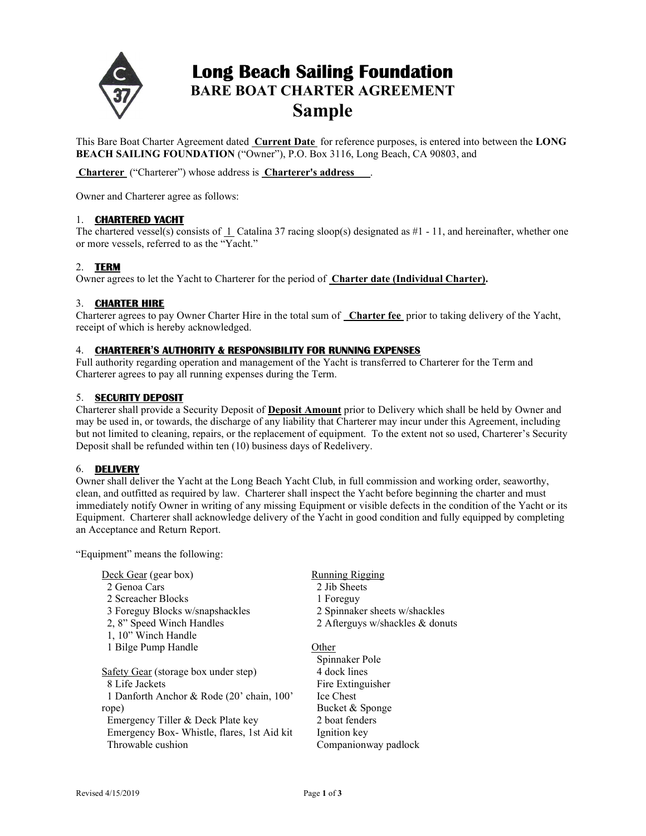

# Long Beach Sailing Foundation BARE BOAT CHARTER AGREEMENT Sample

This Bare Boat Charter Agreement dated Current Date for reference purposes, is entered into between the LONG BEACH SAILING FOUNDATION ("Owner"), P.O. Box 3116, Long Beach, CA 90803, and

Charterer ("Charterer") whose address is Charterer's address .

Owner and Charterer agree as follows:

# 1. CHARTERED YACHT

The chartered vessel(s) consists of  $\perp$  Catalina 37 racing sloop(s) designated as #1 - 11, and hereinafter, whether one or more vessels, referred to as the "Yacht."

# 2. TERM

Owner agrees to let the Yacht to Charterer for the period of Charter date (Individual Charter).

## 3. CHARTER HIRE

Charterer agrees to pay Owner Charter Hire in the total sum of Charter fee prior to taking delivery of the Yacht, receipt of which is hereby acknowledged.

# 4. CHARTERER'S AUTHORITY & RESPONSIBILITY FOR RUNNING EXPENSES

Full authority regarding operation and management of the Yacht is transferred to Charterer for the Term and Charterer agrees to pay all running expenses during the Term.

# 5. SECURITY DEPOSIT

Charterer shall provide a Security Deposit of Deposit Amount prior to Delivery which shall be held by Owner and may be used in, or towards, the discharge of any liability that Charterer may incur under this Agreement, including but not limited to cleaning, repairs, or the replacement of equipment. To the extent not so used, Charterer's Security Deposit shall be refunded within ten (10) business days of Redelivery.

# 6. DELIVERY

Owner shall deliver the Yacht at the Long Beach Yacht Club, in full commission and working order, seaworthy, clean, and outfitted as required by law. Charterer shall inspect the Yacht before beginning the charter and must immediately notify Owner in writing of any missing Equipment or visible defects in the condition of the Yacht or its Equipment. Charterer shall acknowledge delivery of the Yacht in good condition and fully equipped by completing an Acceptance and Return Report.

"Equipment" means the following:

| Deck Gear (gear box)                       | <b>Running Rigging</b>          |  |
|--------------------------------------------|---------------------------------|--|
| 2 Genoa Cars                               | 2 Jib Sheets                    |  |
| 2 Screacher Blocks                         | 1 Foreguy                       |  |
| 3 Foreguy Blocks w/snapshackles            | 2 Spinnaker sheets w/shackles   |  |
| 2, 8" Speed Winch Handles                  | 2 Afterguys w/shackles & donuts |  |
| 1, 10" Winch Handle                        |                                 |  |
| 1 Bilge Pump Handle                        | Other                           |  |
|                                            | Spinnaker Pole                  |  |
| Safety Gear (storage box under step)       | 4 dock lines                    |  |
| 8 Life Jackets                             | Fire Extinguisher               |  |
| 1 Danforth Anchor & Rode (20' chain, 100'  | <b>Ice Chest</b>                |  |
| rope)                                      | Bucket & Sponge                 |  |
| Emergency Tiller & Deck Plate key          | 2 boat fenders                  |  |
| Emergency Box-Whistle, flares, 1st Aid kit | Ignition key                    |  |
| Throwable cushion                          | Companionway padlock            |  |
|                                            |                                 |  |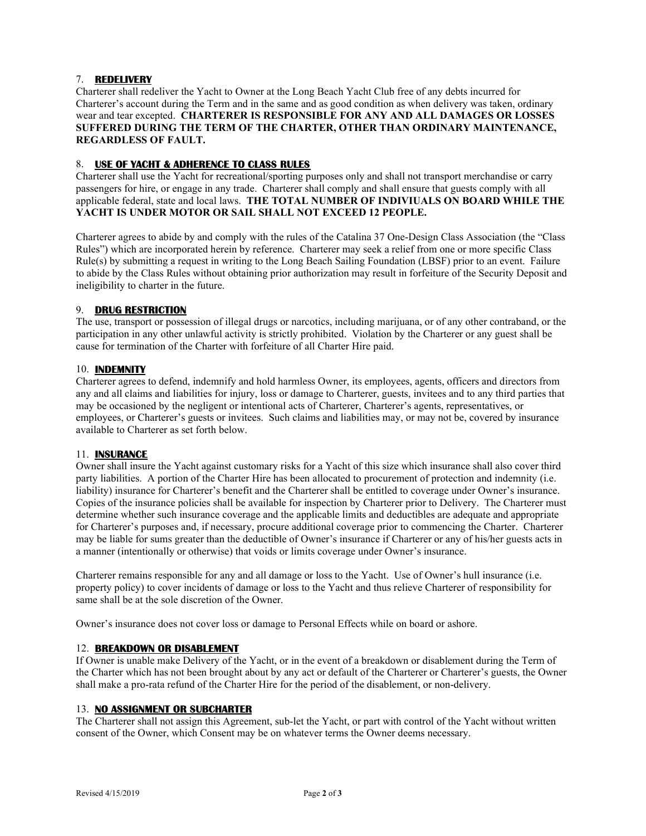# 7. REDELIVERY

Charterer shall redeliver the Yacht to Owner at the Long Beach Yacht Club free of any debts incurred for Charterer's account during the Term and in the same and as good condition as when delivery was taken, ordinary wear and tear excepted. CHARTERER IS RESPONSIBLE FOR ANY AND ALL DAMAGES OR LOSSES SUFFERED DURING THE TERM OF THE CHARTER, OTHER THAN ORDINARY MAINTENANCE, REGARDLESS OF FAULT.

## 8. USE OF YACHT & ADHERENCE TO CLASS RULES

Charterer shall use the Yacht for recreational/sporting purposes only and shall not transport merchandise or carry passengers for hire, or engage in any trade. Charterer shall comply and shall ensure that guests comply with all applicable federal, state and local laws. THE TOTAL NUMBER OF INDIVIUALS ON BOARD WHILE THE YACHT IS UNDER MOTOR OR SAIL SHALL NOT EXCEED 12 PEOPLE.

Charterer agrees to abide by and comply with the rules of the Catalina 37 One-Design Class Association (the "Class Rules") which are incorporated herein by reference. Charterer may seek a relief from one or more specific Class Rule(s) by submitting a request in writing to the Long Beach Sailing Foundation (LBSF) prior to an event. Failure to abide by the Class Rules without obtaining prior authorization may result in forfeiture of the Security Deposit and ineligibility to charter in the future.

#### 9. DRUG RESTRICTION

The use, transport or possession of illegal drugs or narcotics, including marijuana, or of any other contraband, or the participation in any other unlawful activity is strictly prohibited. Violation by the Charterer or any guest shall be cause for termination of the Charter with forfeiture of all Charter Hire paid.

#### 10. INDEMNITY

Charterer agrees to defend, indemnify and hold harmless Owner, its employees, agents, officers and directors from any and all claims and liabilities for injury, loss or damage to Charterer, guests, invitees and to any third parties that may be occasioned by the negligent or intentional acts of Charterer, Charterer's agents, representatives, or employees, or Charterer's guests or invitees. Such claims and liabilities may, or may not be, covered by insurance available to Charterer as set forth below.

## 11. INSURANCE

Owner shall insure the Yacht against customary risks for a Yacht of this size which insurance shall also cover third party liabilities. A portion of the Charter Hire has been allocated to procurement of protection and indemnity (i.e. liability) insurance for Charterer's benefit and the Charterer shall be entitled to coverage under Owner's insurance. Copies of the insurance policies shall be available for inspection by Charterer prior to Delivery. The Charterer must determine whether such insurance coverage and the applicable limits and deductibles are adequate and appropriate for Charterer's purposes and, if necessary, procure additional coverage prior to commencing the Charter. Charterer may be liable for sums greater than the deductible of Owner's insurance if Charterer or any of his/her guests acts in a manner (intentionally or otherwise) that voids or limits coverage under Owner's insurance.

Charterer remains responsible for any and all damage or loss to the Yacht. Use of Owner's hull insurance (i.e. property policy) to cover incidents of damage or loss to the Yacht and thus relieve Charterer of responsibility for same shall be at the sole discretion of the Owner.

Owner's insurance does not cover loss or damage to Personal Effects while on board or ashore.

## 12. BREAKDOWN OR DISABLEMENT

If Owner is unable make Delivery of the Yacht, or in the event of a breakdown or disablement during the Term of the Charter which has not been brought about by any act or default of the Charterer or Charterer's guests, the Owner shall make a pro-rata refund of the Charter Hire for the period of the disablement, or non-delivery.

#### 13. NO ASSIGNMENT OR SUBCHARTER

The Charterer shall not assign this Agreement, sub-let the Yacht, or part with control of the Yacht without written consent of the Owner, which Consent may be on whatever terms the Owner deems necessary.